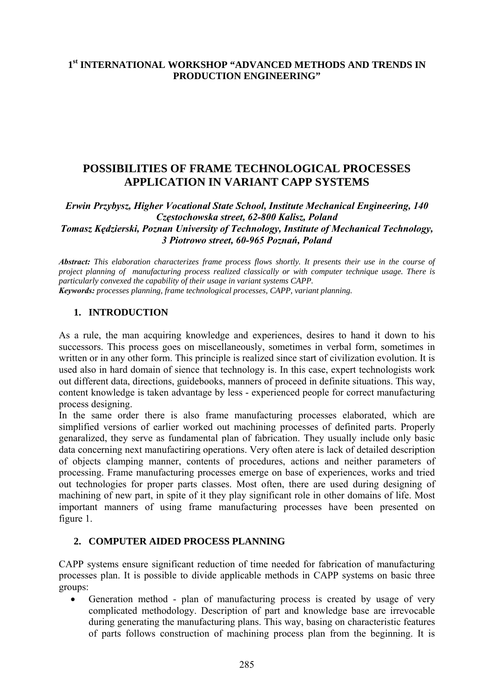# **1st INTERNATIONAL WORKSHOP "ADVANCED METHODS AND TRENDS IN PRODUCTION ENGINEERING"**

# **POSSIBILITIES OF FRAME TECHNOLOGICAL PROCESSES APPLICATION IN VARIANT CAPP SYSTEMS**

*Erwin Przybysz, Higher Vocational State School, Institute Mechanical Engineering, 140 Częstochowska street, 62-800 Kalisz, Poland Tomasz Kędzierski, Poznan University of Technology, Institute of Mechanical Technology, 3 Piotrowo street, 60-965 Poznań, Poland* 

*Abstract: This elaboration characterizes frame process flows shortly. It presents their use in the course of project planning of manufacturing process realized classically or with computer technique usage. There is particularly convexed the capability of their usage in variant systems CAPP. Keywords: processes planning, frame technological processes, CAPP, variant planning.* 

#### **1. INTRODUCTION**

As a rule, the man acquiring knowledge and experiences, desires to hand it down to his successors. This process goes on miscellaneously, sometimes in verbal form, sometimes in written or in any other form. This principle is realized since start of civilization evolution. It is used also in hard domain of sience that technology is. In this case, expert technologists work out different data, directions, guidebooks, manners of proceed in definite situations. This way, content knowledge is taken advantage by less - experienced people for correct manufacturing process designing.

In the same order there is also frame manufacturing processes elaborated, which are simplified versions of earlier worked out machining processes of definited parts. Properly genaralized, they serve as fundamental plan of fabrication. They usually include only basic data concerning next manufactiring operations. Very often atere is lack of detailed description of objects clamping manner, contents of procedures, actions and neither parameters of processing. Frame manufacturing processes emerge on base of experiences, works and tried out technologies for proper parts classes. Most often, there are used during designing of machining of new part, in spite of it they play significant role in other domains of life. Most important manners of using frame manufacturing processes have been presented on figure 1.

#### **2. COMPUTER AIDED PROCESS PLANNING**

CAPP systems ensure significant reduction of time needed for fabrication of manufacturing processes plan. It is possible to divide applicable methods in CAPP systems on basic three groups:

• Generation method - plan of manufacturing process is created by usage of very complicated methodology. Description of part and knowledge base are irrevocable during generating the manufacturing plans. This way, basing on characteristic features of parts follows construction of machining process plan from the beginning. It is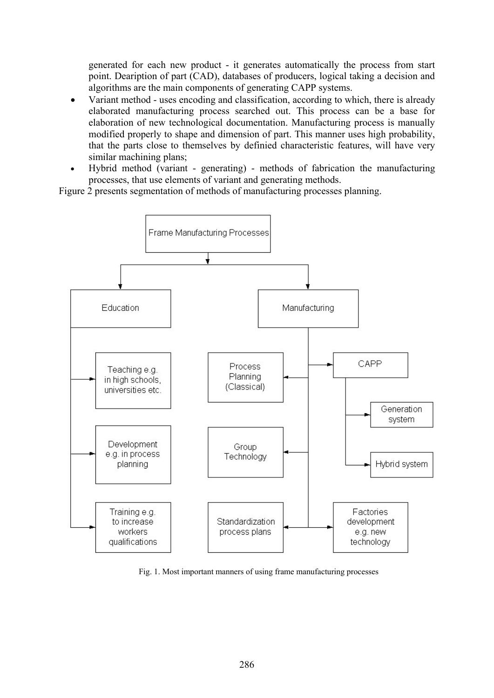generated for each new product - it generates automatically the process from start point. Deaription of part (CAD), databases of producers, logical taking a decision and algorithms are the main components of generating CAPP systems.

- Variant method uses encoding and classification, according to which, there is already elaborated manufacturing process searched out. This process can be a base for elaboration of new technological documentation. Manufacturing process is manually modified properly to shape and dimension of part. This manner uses high probability, that the parts close to themselves by definied characteristic features, will have very similar machining plans;
- Hybrid method (variant generating) methods of fabrication the manufacturing processes, that use elements of variant and generating methods.

Figure 2 presents segmentation of methods of manufacturing processes planning.



Fig. 1. Most important manners of using frame manufacturing processes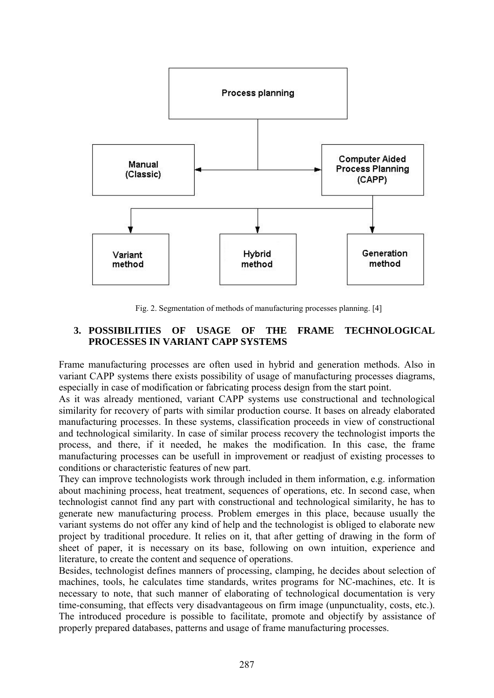

Fig. 2. Segmentation of methods of manufacturing processes planning. [4]

### **3. POSSIBILITIES OF USAGE OF THE FRAME TECHNOLOGICAL PROCESSES IN VARIANT CAPP SYSTEMS**

Frame manufacturing processes are often used in hybrid and generation methods. Also in variant CAPP systems there exists possibility of usage of manufacturing processes diagrams, especially in case of modification or fabricating process design from the start point.

As it was already mentioned, variant CAPP systems use constructional and technological similarity for recovery of parts with similar production course. It bases on already elaborated manufacturing processes. In these systems, classification proceeds in view of constructional and technological similarity. In case of similar process recovery the technologist imports the process, and there, if it needed, he makes the modification. In this case, the frame manufacturing processes can be usefull in improvement or readjust of existing processes to conditions or characteristic features of new part.

They can improve technologists work through included in them information, e.g. information about machining process, heat treatment, sequences of operations, etc. In second case, when technologist cannot find any part with constructional and technological similarity, he has to generate new manufacturing process. Problem emerges in this place, because usually the variant systems do not offer any kind of help and the technologist is obliged to elaborate new project by traditional procedure. It relies on it, that after getting of drawing in the form of sheet of paper, it is necessary on its base, following on own intuition, experience and literature, to create the content and sequence of operations.

Besides, technologist defines manners of processing, clamping, he decides about selection of machines, tools, he calculates time standards, writes programs for NC-machines, etc. It is necessary to note, that such manner of elaborating of technological documentation is very time-consuming, that effects very disadvantageous on firm image (unpunctuality, costs, etc.). The introduced procedure is possible to facilitate, promote and objectify by assistance of properly prepared databases, patterns and usage of frame manufacturing processes.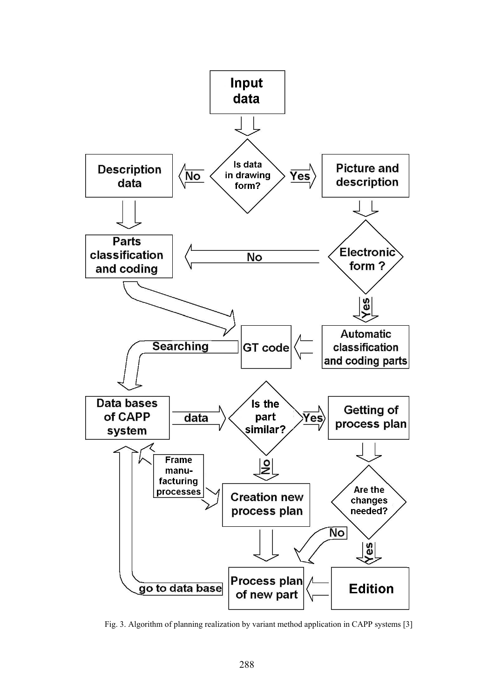

Fig. 3. Algorithm of planning realization by variant method application in CAPP systems [3]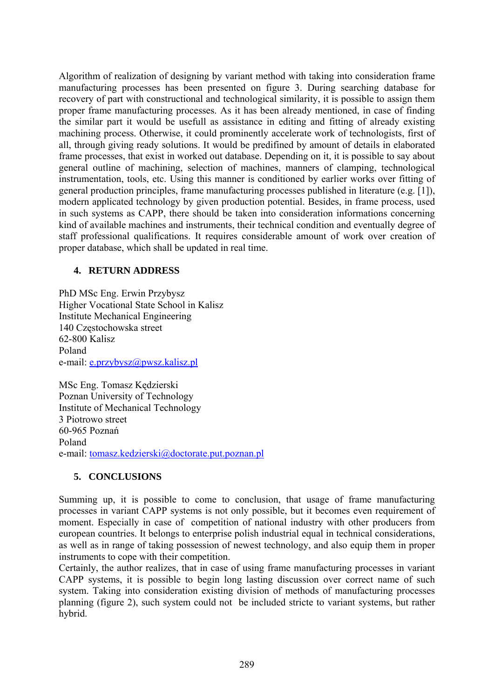Algorithm of realization of designing by variant method with taking into consideration frame manufacturing processes has been presented on figure 3. During searching database for recovery of part with constructional and technological similarity, it is possible to assign them proper frame manufacturing processes. As it has been already mentioned, in case of finding the similar part it would be usefull as assistance in editing and fitting of already existing machining process. Otherwise, it could prominently accelerate work of technologists, first of all, through giving ready solutions. It would be predifined by amount of details in elaborated frame processes, that exist in worked out database. Depending on it, it is possible to say about general outline of machining, selection of machines, manners of clamping, technological instrumentation, tools, etc. Using this manner is conditioned by earlier works over fitting of general production principles, frame manufacturing processes published in literature (e.g. [1]), modern applicated technology by given production potential. Besides, in frame process, used in such systems as CAPP, there should be taken into consideration informations concerning kind of available machines and instruments, their technical condition and eventually degree of staff professional qualifications. It requires considerable amount of work over creation of proper database, which shall be updated in real time.

# **4. RETURN ADDRESS**

PhD MSc Eng. Erwin Przybysz Higher Vocational State School in Kalisz Institute Mechanical Engineering 140 Częstochowska street 62-800 Kalisz Poland e-mail: [e.przybysz@pwsz.kalisz.pl](mailto:e.przybysz@pwsz.kalisz.pl)

MSc Eng. Tomasz Kędzierski Poznan University of Technology Institute of Mechanical Technology 3 Piotrowo street 60-965 Poznań Poland e-mail: [tomasz.kedzierski@doctorate.put.poznan.pl](mailto:tomasz.kedzierski@doctorate.put.poznan.pl)

# **5. CONCLUSIONS**

Summing up, it is possible to come to conclusion, that usage of frame manufacturing processes in variant CAPP systems is not only possible, but it becomes even requirement of moment. Especially in case of competition of national industry with other producers from european countries. It belongs to enterprise polish industrial equal in technical considerations, as well as in range of taking possession of newest technology, and also equip them in proper instruments to cope with their competition.

Certainly, the author realizes, that in case of using frame manufacturing processes in variant CAPP systems, it is possible to begin long lasting discussion over correct name of such system. Taking into consideration existing division of methods of manufacturing processes planning (figure 2), such system could not be included stricte to variant systems, but rather hybrid.